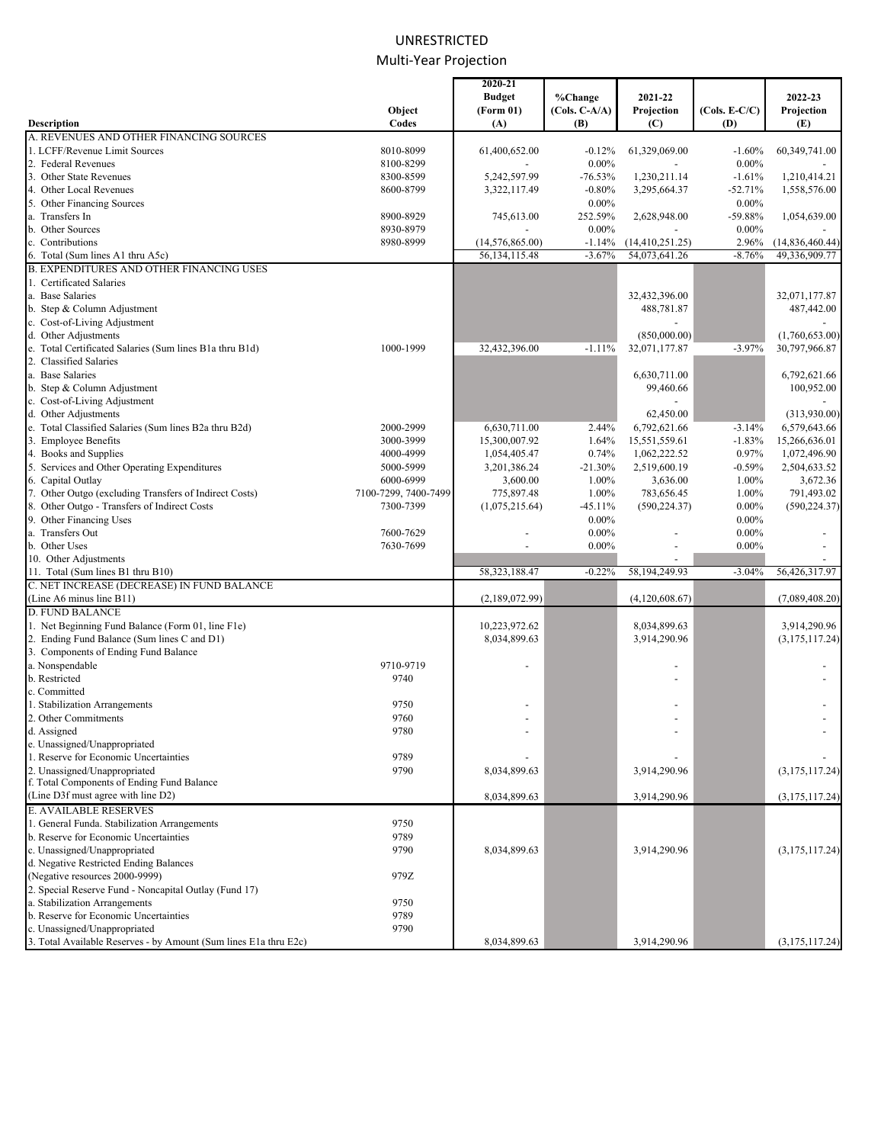# UNRESTRICTED Multi‐Year Projection

|                                                                                   |                      | 2020-21          |                 |                  |                 |                 |
|-----------------------------------------------------------------------------------|----------------------|------------------|-----------------|------------------|-----------------|-----------------|
|                                                                                   |                      | <b>Budget</b>    | %Change         | 2021-22          |                 | 2022-23         |
|                                                                                   | Object               | (Form 01)        | $(Cols. C-A/A)$ | Projection       | $(Cols. E-C/C)$ | Projection      |
| <b>Description</b>                                                                | Codes                | (A)              | (B)             | (C)              | (D)             | (E)             |
| A. REVENUES AND OTHER FINANCING SOURCES                                           |                      |                  |                 |                  |                 |                 |
| 1. LCFF/Revenue Limit Sources                                                     | 8010-8099            | 61,400,652.00    | $-0.12%$        | 61,329,069.00    | $-1.60%$        | 60,349,741.00   |
| 2. Federal Revenues                                                               | 8100-8299            |                  | $0.00\%$        |                  | $0.00\%$        |                 |
| 3. Other State Revenues                                                           | 8300-8599            | 5,242,597.99     | $-76.53%$       | 1,230,211.14     | $-1.61%$        | 1,210,414.21    |
| 4. Other Local Revenues                                                           | 8600-8799            | 3,322,117.49     | $-0.80%$        | 3,295,664.37     | $-52.71%$       | 1,558,576.00    |
| 5. Other Financing Sources                                                        |                      |                  | $0.00\%$        |                  | $0.00\%$        |                 |
| a. Transfers In                                                                   | 8900-8929            | 745,613.00       | 252.59%         | 2,628,948.00     | $-59.88%$       | 1,054,639.00    |
| b. Other Sources                                                                  | 8930-8979            |                  | $0.00\%$        |                  | $0.00\%$        |                 |
| c. Contributions                                                                  | 8980-8999            | (14,576,865.00)  | $-1.14%$        | (14,410,251.25)  | 2.96%           | (14,836,460.44) |
| 6. Total (Sum lines A1 thru A5c)                                                  |                      | 56, 134, 115. 48 | $-3.67%$        | 54,073,641.26    | $-8.76%$        | 49,336,909.77   |
| <b>B. EXPENDITURES AND OTHER FINANCING USES</b>                                   |                      |                  |                 |                  |                 |                 |
| 1. Certificated Salaries                                                          |                      |                  |                 |                  |                 |                 |
| a. Base Salaries                                                                  |                      |                  |                 | 32,432,396.00    |                 | 32,071,177.87   |
| b. Step & Column Adjustment                                                       |                      |                  |                 | 488,781.87       |                 | 487,442.00      |
| c. Cost-of-Living Adjustment                                                      |                      |                  |                 |                  |                 |                 |
|                                                                                   |                      |                  |                 |                  |                 |                 |
| d. Other Adjustments                                                              |                      |                  |                 | (850,000.00)     | $-3.97%$        | (1,760,653.00)  |
| e. Total Certificated Salaries (Sum lines B1a thru B1d)<br>2. Classified Salaries | 1000-1999            | 32,432,396.00    | $-1.11%$        | 32,071,177.87    |                 | 30,797,966.87   |
|                                                                                   |                      |                  |                 |                  |                 |                 |
| a. Base Salaries                                                                  |                      |                  |                 | 6,630,711.00     |                 | 6,792,621.66    |
| b. Step & Column Adjustment                                                       |                      |                  |                 | 99,460.66        |                 | 100,952.00      |
| c. Cost-of-Living Adjustment                                                      |                      |                  |                 |                  |                 |                 |
| d. Other Adjustments                                                              |                      |                  |                 | 62,450.00        |                 | (313,930.00)    |
| e. Total Classified Salaries (Sum lines B2a thru B2d)                             | 2000-2999            | 6,630,711.00     | 2.44%           | 6,792,621.66     | $-3.14%$        | 6,579,643.66    |
| 3. Employee Benefits                                                              | 3000-3999            | 15,300,007.92    | 1.64%           | 15,551,559.61    | $-1.83%$        | 15,266,636.01   |
| 4. Books and Supplies                                                             | 4000-4999            | 1,054,405.47     | 0.74%           | 1,062,222.52     | 0.97%           | 1,072,496.90    |
| 5. Services and Other Operating Expenditures                                      | 5000-5999            | 3,201,386.24     | $-21.30%$       | 2,519,600.19     | $-0.59%$        | 2,504,633.52    |
| 6. Capital Outlay                                                                 | 6000-6999            | 3,600.00         | 1.00%           | 3,636.00         | 1.00%           | 3,672.36        |
| 7. Other Outgo (excluding Transfers of Indirect Costs)                            | 7100-7299, 7400-7499 | 775,897.48       | 1.00%           | 783,656.45       | 1.00%           | 791,493.02      |
| 8. Other Outgo - Transfers of Indirect Costs                                      | 7300-7399            | (1,075,215.64)   | $-45.11%$       | (590, 224.37)    | $0.00\%$        | (590, 224.37)   |
| 9. Other Financing Uses                                                           |                      |                  | $0.00\%$        |                  | $0.00\%$        |                 |
| a. Transfers Out                                                                  | 7600-7629            |                  | $0.00\%$        |                  | $0.00\%$        |                 |
| b. Other Uses                                                                     | 7630-7699            |                  | $0.00\%$        |                  | $0.00\%$        |                 |
| 10. Other Adjustments                                                             |                      |                  |                 |                  |                 |                 |
| 11. Total (Sum lines B1 thru B10)                                                 |                      | 58,323,188.47    | $-0.22%$        | 58, 194, 249. 93 | $-3.04%$        | 56,426,317.97   |
| C. NET INCREASE (DECREASE) IN FUND BALANCE                                        |                      |                  |                 |                  |                 |                 |
| (Line A6 minus line B11)                                                          |                      | (2,189,072.99)   |                 | (4,120,608.67)   |                 | (7,089,408.20)  |
| <b>D. FUND BALANCE</b>                                                            |                      |                  |                 |                  |                 |                 |
| 1. Net Beginning Fund Balance (Form 01, line F1e)                                 |                      | 10,223,972.62    |                 | 8,034,899.63     |                 | 3,914,290.96    |
| 2. Ending Fund Balance (Sum lines C and D1)                                       |                      | 8,034,899.63     |                 | 3,914,290.96     |                 | (3,175,117.24)  |
| 3. Components of Ending Fund Balance                                              |                      |                  |                 |                  |                 |                 |
| a. Nonspendable                                                                   | 9710-9719            |                  |                 |                  |                 |                 |
| b. Restricted                                                                     | 9740                 |                  |                 |                  |                 |                 |
| c. Committed                                                                      |                      |                  |                 |                  |                 |                 |
| 1. Stabilization Arrangements                                                     | 9750                 |                  |                 |                  |                 |                 |
| 2. Other Commitments                                                              | 9760                 |                  |                 |                  |                 |                 |
| d. Assigned                                                                       | 9780                 |                  |                 |                  |                 |                 |
| e. Unassigned/Unappropriated                                                      |                      |                  |                 |                  |                 |                 |
| 1. Reserve for Economic Uncertainties                                             | 9789                 |                  |                 |                  |                 |                 |
| 2. Unassigned/Unappropriated                                                      | 9790                 | 8,034,899.63     |                 | 3,914,290.96     |                 | (3,175,117.24)  |
| f. Total Components of Ending Fund Balance                                        |                      |                  |                 |                  |                 |                 |
| (Line D3f must agree with line D2)                                                |                      | 8,034,899.63     |                 | 3,914,290.96     |                 | (3,175,117.24)  |
| <b>E. AVAILABLE RESERVES</b>                                                      |                      |                  |                 |                  |                 |                 |
|                                                                                   |                      |                  |                 |                  |                 |                 |
| 1. General Funda. Stabilization Arrangements                                      | 9750                 |                  |                 |                  |                 |                 |
| b. Reserve for Economic Uncertainties                                             | 9789                 |                  |                 |                  |                 |                 |
| c. Unassigned/Unappropriated                                                      | 9790                 | 8,034,899.63     |                 | 3,914,290.96     |                 | (3,175,117.24)  |
| d. Negative Restricted Ending Balances                                            |                      |                  |                 |                  |                 |                 |
| (Negative resources 2000-9999)                                                    | 979Z                 |                  |                 |                  |                 |                 |
| 2. Special Reserve Fund - Noncapital Outlay (Fund 17)                             |                      |                  |                 |                  |                 |                 |
| a. Stabilization Arrangements                                                     | 9750                 |                  |                 |                  |                 |                 |
| b. Reserve for Economic Uncertainties                                             | 9789                 |                  |                 |                  |                 |                 |
| c. Unassigned/Unappropriated                                                      | 9790                 |                  |                 |                  |                 |                 |
| 3. Total Available Reserves - by Amount (Sum lines E1a thru E2c)                  |                      | 8,034,899.63     |                 | 3,914,290.96     |                 | (3,175,117.24)  |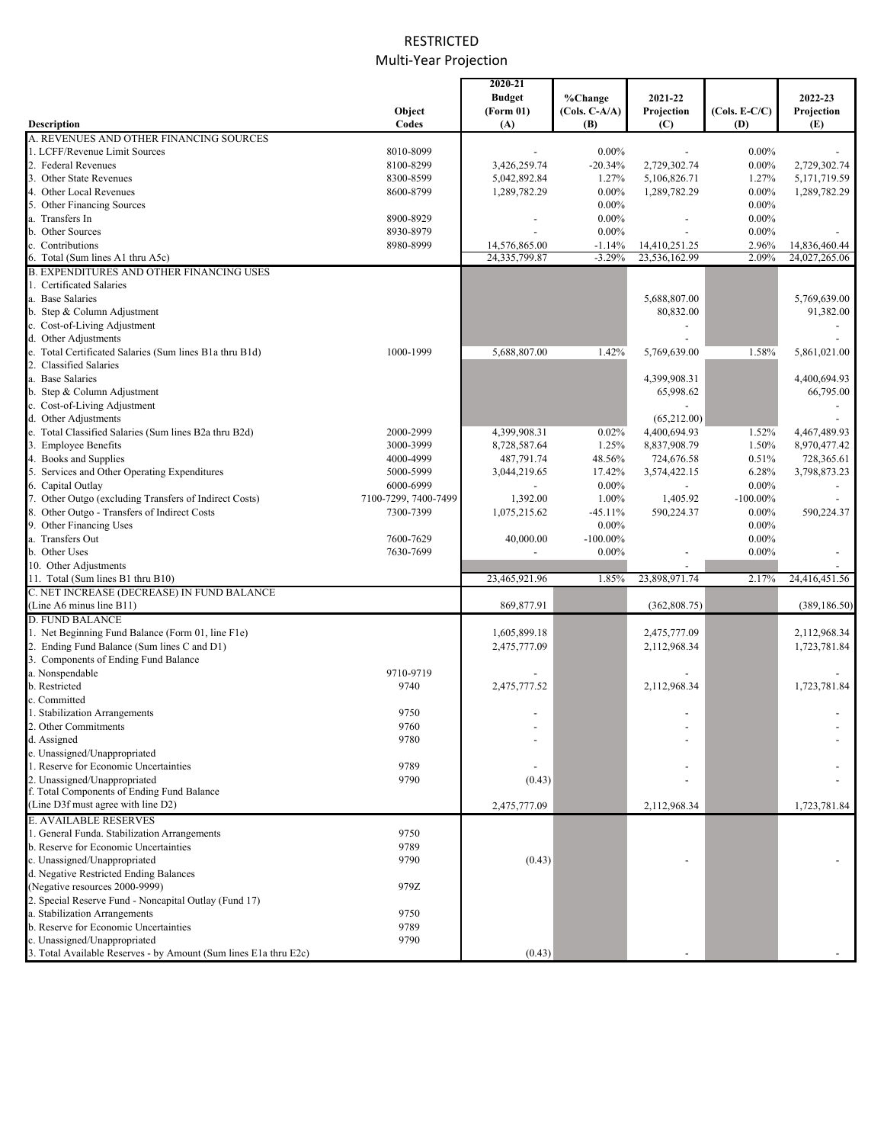# RESTRICTED Multi‐Year Projection

|                                                                  |                      | 2020-21       |                 |               |                 |               |
|------------------------------------------------------------------|----------------------|---------------|-----------------|---------------|-----------------|---------------|
|                                                                  |                      | <b>Budget</b> | %Change         | 2021-22       |                 | 2022-23       |
|                                                                  | Object               | (Form 01)     | $(Cols. C-A/A)$ | Projection    | $(Cols. E-C/C)$ | Projection    |
| Description                                                      | Codes                | (A)           | (B)             | (C)           | (D)             | (E)           |
| A. REVENUES AND OTHER FINANCING SOURCES                          |                      |               |                 |               |                 |               |
| 1. LCFF/Revenue Limit Sources                                    | 8010-8099            |               | $0.00\%$        |               | $0.00\%$        |               |
| 2. Federal Revenues                                              | 8100-8299            | 3,426,259.74  | $-20.34%$       | 2,729,302.74  | $0.00\%$        | 2,729,302.74  |
| 3. Other State Revenues                                          | 8300-8599            | 5,042,892.84  | 1.27%           | 5,106,826.71  | 1.27%           | 5,171,719.59  |
| 4. Other Local Revenues                                          | 8600-8799            | 1,289,782.29  | $0.00\%$        | 1,289,782.29  | $0.00\%$        | 1,289,782.29  |
| 5. Other Financing Sources                                       |                      |               | $0.00\%$        |               | $0.00\%$        |               |
| a. Transfers In                                                  | 8900-8929            |               | $0.00\%$        |               | $0.00\%$        |               |
| b. Other Sources                                                 | 8930-8979            |               | $0.00\%$        |               | $0.00\%$        |               |
| c. Contributions                                                 | 8980-8999            | 14,576,865.00 | $-1.14%$        | 14,410,251.25 | 2.96%           | 14,836,460.44 |
| 6. Total (Sum lines A1 thru A5c)                                 |                      | 24,335,799.87 | $-3.29%$        | 23,536,162.99 | 2.09%           | 24,027,265.06 |
| <b>B. EXPENDITURES AND OTHER FINANCING USES</b>                  |                      |               |                 |               |                 |               |
| 1. Certificated Salaries                                         |                      |               |                 |               |                 |               |
| a. Base Salaries                                                 |                      |               |                 | 5,688,807.00  |                 | 5,769,639.00  |
| b. Step & Column Adjustment                                      |                      |               |                 | 80,832.00     |                 | 91,382.00     |
| c. Cost-of-Living Adjustment                                     |                      |               |                 |               |                 |               |
| d. Other Adjustments                                             |                      |               |                 |               |                 |               |
| e. Total Certificated Salaries (Sum lines B1a thru B1d)          | 1000-1999            | 5,688,807.00  | 1.42%           | 5,769,639.00  | 1.58%           | 5,861,021.00  |
| 2. Classified Salaries                                           |                      |               |                 |               |                 |               |
| a. Base Salaries                                                 |                      |               |                 | 4,399,908.31  |                 | 4,400,694.93  |
| b. Step & Column Adjustment                                      |                      |               |                 | 65,998.62     |                 | 66,795.00     |
| c. Cost-of-Living Adjustment                                     |                      |               |                 |               |                 |               |
| d. Other Adjustments                                             |                      |               |                 | (65,212.00)   |                 |               |
| e. Total Classified Salaries (Sum lines B2a thru B2d)            | 2000-2999            | 4,399,908.31  | 0.02%           | 4,400,694.93  | 1.52%           | 4,467,489.93  |
| 3. Employee Benefits                                             | 3000-3999            | 8,728,587.64  | 1.25%           | 8,837,908.79  | 1.50%           | 8,970,477.42  |
| 4. Books and Supplies                                            | 4000-4999            | 487,791.74    | 48.56%          | 724,676.58    | 0.51%           | 728,365.61    |
|                                                                  |                      |               |                 |               |                 |               |
| 5. Services and Other Operating Expenditures                     | 5000-5999            | 3,044,219.65  | 17.42%          | 3,574,422.15  | 6.28%           | 3,798,873.23  |
| 6. Capital Outlay                                                | 6000-6999            |               | $0.00\%$        |               | $0.00\%$        |               |
| 7. Other Outgo (excluding Transfers of Indirect Costs)           | 7100-7299, 7400-7499 | 1,392.00      | 1.00%           | 1,405.92      | $-100.00\%$     |               |
| 8. Other Outgo - Transfers of Indirect Costs                     | 7300-7399            | 1,075,215.62  | $-45.11%$       | 590,224.37    | $0.00\%$        | 590,224.37    |
| 9. Other Financing Uses                                          |                      |               | $0.00\%$        |               | $0.00\%$        |               |
| a. Transfers Out                                                 | 7600-7629            | 40,000.00     | $-100.00\%$     |               | $0.00\%$        |               |
| b. Other Uses                                                    | 7630-7699            |               | $0.00\%$        |               | $0.00\%$        |               |
| 10. Other Adjustments                                            |                      |               |                 |               |                 |               |
| 11. Total (Sum lines B1 thru B10)                                |                      | 23,465,921.96 | 1.85%           | 23,898,971.74 | 2.17%           | 24,416,451.56 |
| C. NET INCREASE (DECREASE) IN FUND BALANCE                       |                      |               |                 |               |                 |               |
| (Line A6 minus line B11)                                         |                      | 869,877.91    |                 | (362, 808.75) |                 | (389, 186.50) |
| <b>D. FUND BALANCE</b>                                           |                      |               |                 |               |                 |               |
| 1. Net Beginning Fund Balance (Form 01, line F1e)                |                      | 1,605,899.18  |                 | 2,475,777.09  |                 | 2,112,968.34  |
| 2. Ending Fund Balance (Sum lines C and D1)                      |                      | 2,475,777.09  |                 | 2,112,968.34  |                 | 1,723,781.84  |
| 3. Components of Ending Fund Balance                             |                      |               |                 |               |                 |               |
| a. Nonspendable                                                  | 9710-9719            |               |                 |               |                 |               |
| b. Restricted                                                    | 9740                 | 2,475,777.52  |                 | 2,112,968.34  |                 | 1,723,781.84  |
| c. Committed                                                     |                      |               |                 |               |                 |               |
| 1. Stabilization Arrangements                                    | 9750                 |               |                 |               |                 |               |
| 2. Other Commitments                                             | 9760                 |               |                 |               |                 |               |
| d. Assigned                                                      | 9780                 |               |                 |               |                 |               |
| e. Unassigned/Unappropriated                                     |                      |               |                 |               |                 |               |
| 1. Reserve for Economic Uncertainties                            | 9789                 |               |                 |               |                 |               |
| 2. Unassigned/Unappropriated                                     | 9790                 | (0.43)        |                 |               |                 |               |
| f. Total Components of Ending Fund Balance                       |                      |               |                 |               |                 |               |
| (Line D3f must agree with line D2)                               |                      | 2,475,777.09  |                 | 2,112,968.34  |                 | 1,723,781.84  |
| <b>E. AVAILABLE RESERVES</b>                                     |                      |               |                 |               |                 |               |
| 1. General Funda. Stabilization Arrangements                     | 9750                 |               |                 |               |                 |               |
| b. Reserve for Economic Uncertainties                            | 9789                 |               |                 |               |                 |               |
| c. Unassigned/Unappropriated                                     | 9790                 | (0.43)        |                 |               |                 |               |
| d. Negative Restricted Ending Balances                           |                      |               |                 |               |                 |               |
| (Negative resources 2000-9999)                                   | 979Z                 |               |                 |               |                 |               |
| 2. Special Reserve Fund - Noncapital Outlay (Fund 17)            |                      |               |                 |               |                 |               |
|                                                                  |                      |               |                 |               |                 |               |
| a. Stabilization Arrangements                                    | 9750                 |               |                 |               |                 |               |
| b. Reserve for Economic Uncertainties                            | 9789                 |               |                 |               |                 |               |
| c. Unassigned/Unappropriated                                     | 9790                 |               |                 |               |                 |               |
| 3. Total Available Reserves - by Amount (Sum lines E1a thru E2c) |                      | (0.43)        |                 |               |                 |               |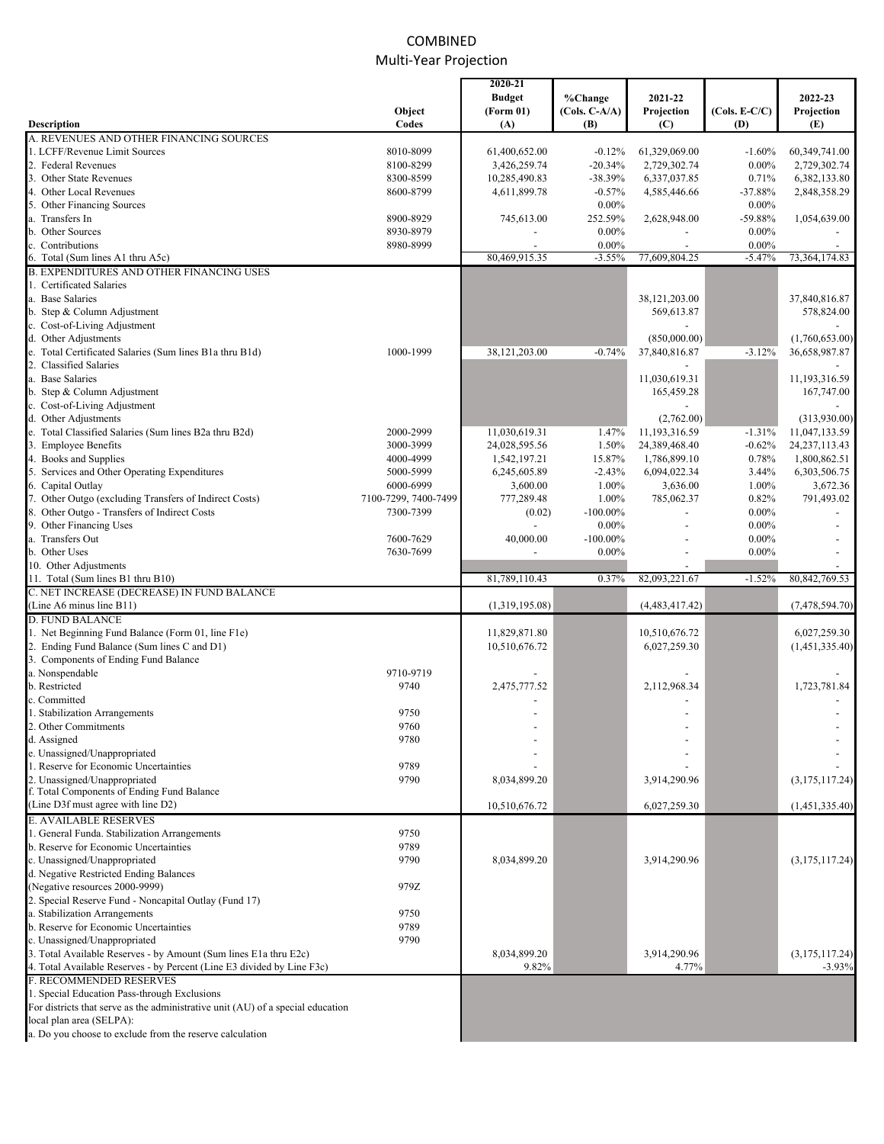# COMBINED Multi‐Year Projection

|                                                                                 |                      | 2020-21        |                 |                |                 |                  |
|---------------------------------------------------------------------------------|----------------------|----------------|-----------------|----------------|-----------------|------------------|
|                                                                                 |                      | <b>Budget</b>  | %Change         | 2021-22        |                 | 2022-23          |
|                                                                                 | Object               | (Form 01)      | $(Cols. C-A/A)$ | Projection     | $(Cols. E-C/C)$ | Projection       |
| Description                                                                     | Codes                | (A)            | (B)             | (C)            | (D)             | (E)              |
| A. REVENUES AND OTHER FINANCING SOURCES                                         |                      |                |                 |                |                 |                  |
| 1. LCFF/Revenue Limit Sources                                                   | 8010-8099            | 61,400,652.00  | $-0.12%$        | 61,329,069.00  | $-1.60%$        | 60,349,741.00    |
| 2. Federal Revenues                                                             | 8100-8299            | 3,426,259.74   | $-20.34%$       | 2,729,302.74   | $0.00\%$        | 2,729,302.74     |
| 3. Other State Revenues                                                         | 8300-8599            | 10,285,490.83  | $-38.39%$       | 6,337,037.85   | 0.71%           | 6,382,133.80     |
| 4. Other Local Revenues                                                         | 8600-8799            | 4,611,899.78   | $-0.57%$        | 4,585,446.66   | $-37.88%$       | 2,848,358.29     |
| 5. Other Financing Sources                                                      |                      |                | $0.00\%$        |                | $0.00\%$        |                  |
| a. Transfers In                                                                 | 8900-8929            | 745,613.00     | 252.59%         | 2,628,948.00   | $-59.88%$       | 1,054,639.00     |
| b. Other Sources                                                                | 8930-8979            |                | $0.00\%$        |                | $0.00\%$        |                  |
|                                                                                 |                      |                |                 |                |                 |                  |
| c. Contributions                                                                | 8980-8999            |                | $0.00\%$        | $\overline{a}$ | $0.00\%$        |                  |
| 6. Total (Sum lines A1 thru A5c)                                                |                      | 80,469,915.35  | $-3.55%$        | 77,609,804.25  | $-5.47%$        | 73,364,174.83    |
| <b>B. EXPENDITURES AND OTHER FINANCING USES</b>                                 |                      |                |                 |                |                 |                  |
| 1. Certificated Salaries                                                        |                      |                |                 |                |                 |                  |
| a. Base Salaries                                                                |                      |                |                 | 38,121,203.00  |                 | 37,840,816.87    |
| b. Step & Column Adjustment                                                     |                      |                |                 | 569,613.87     |                 | 578,824.00       |
| c. Cost-of-Living Adjustment                                                    |                      |                |                 |                |                 |                  |
| d. Other Adjustments                                                            |                      |                |                 | (850,000.00)   |                 | (1,760,653.00)   |
| e. Total Certificated Salaries (Sum lines B1a thru B1d)                         | 1000-1999            | 38,121,203.00  | $-0.74%$        | 37,840,816.87  | $-3.12%$        | 36,658,987.87    |
| 2. Classified Salaries                                                          |                      |                |                 |                |                 |                  |
|                                                                                 |                      |                |                 |                |                 |                  |
| a. Base Salaries                                                                |                      |                |                 | 11,030,619.31  |                 | 11,193,316.59    |
| b. Step & Column Adjustment                                                     |                      |                |                 | 165,459.28     |                 | 167,747.00       |
| c. Cost-of-Living Adjustment                                                    |                      |                |                 |                |                 |                  |
| d. Other Adjustments                                                            |                      |                |                 | (2,762.00)     |                 | (313,930.00)     |
| e. Total Classified Salaries (Sum lines B2a thru B2d)                           | 2000-2999            | 11,030,619.31  | 1.47%           | 11,193,316.59  | $-1.31%$        | 11,047,133.59    |
| 3. Employee Benefits                                                            | 3000-3999            | 24,028,595.56  | 1.50%           | 24,389,468.40  | $-0.62%$        | 24, 237, 113. 43 |
| 4. Books and Supplies                                                           | 4000-4999            | 1,542,197.21   | 15.87%          | 1,786,899.10   | 0.78%           | 1,800,862.51     |
| 5. Services and Other Operating Expenditures                                    | 5000-5999            |                | $-2.43%$        | 6,094,022.34   |                 | 6,303,506.75     |
|                                                                                 |                      | 6,245,605.89   |                 |                | 3.44%           |                  |
| 6. Capital Outlay                                                               | 6000-6999            | 3,600.00       | 1.00%           | 3,636.00       | 1.00%           | 3,672.36         |
| 7. Other Outgo (excluding Transfers of Indirect Costs)                          | 7100-7299, 7400-7499 | 777,289.48     | 1.00%           | 785,062.37     | 0.82%           | 791,493.02       |
| 8. Other Outgo - Transfers of Indirect Costs                                    | 7300-7399            | (0.02)         | $-100.00\%$     |                | $0.00\%$        |                  |
| 9. Other Financing Uses                                                         |                      |                | $0.00\%$        |                | $0.00\%$        |                  |
| a. Transfers Out                                                                | 7600-7629            | 40,000.00      | $-100.00\%$     |                | $0.00\%$        |                  |
| b. Other Uses                                                                   | 7630-7699            |                | $0.00\%$        |                | $0.00\%$        |                  |
| 10. Other Adjustments                                                           |                      |                |                 |                |                 |                  |
| 11. Total (Sum lines B1 thru B10)                                               |                      | 81,789,110.43  | 0.37%           | 82,093,221.67  | $-1.52%$        | 80, 842, 769. 53 |
| C. NET INCREASE (DECREASE) IN FUND BALANCE                                      |                      |                |                 |                |                 |                  |
| (Line A6 minus line B11)                                                        |                      | (1,319,195.08) |                 | (4,483,417.42) |                 | (7,478,594.70)   |
|                                                                                 |                      |                |                 |                |                 |                  |
| <b>D. FUND BALANCE</b>                                                          |                      |                |                 |                |                 |                  |
| 1. Net Beginning Fund Balance (Form 01, line F1e)                               |                      | 11,829,871.80  |                 | 10,510,676.72  |                 | 6,027,259.30     |
| 2. Ending Fund Balance (Sum lines C and D1)                                     |                      | 10,510,676.72  |                 | 6,027,259.30   |                 | (1,451,335.40)   |
| 3. Components of Ending Fund Balance                                            |                      |                |                 |                |                 |                  |
| a. Nonspendable                                                                 | 9710-9719            |                |                 |                |                 |                  |
| b. Restricted                                                                   | 9740                 | 2,475,777.52   |                 | 2,112,968.34   |                 | 1,723,781.84     |
| c. Committed                                                                    |                      |                |                 |                |                 |                  |
| 1. Stabilization Arrangements                                                   | 9750                 |                |                 |                |                 |                  |
| 2. Other Commitments                                                            | 9760                 |                |                 |                |                 |                  |
|                                                                                 | 9780                 |                |                 |                |                 |                  |
| d. Assigned                                                                     |                      |                |                 |                |                 |                  |
| e. Unassigned/Unappropriated                                                    |                      |                |                 |                |                 |                  |
| 1. Reserve for Economic Uncertainties                                           | 9789                 |                |                 |                |                 |                  |
| 2. Unassigned/Unappropriated                                                    | 9790                 | 8,034,899.20   |                 | 3,914,290.96   |                 | (3, 175, 117.24) |
| f. Total Components of Ending Fund Balance                                      |                      |                |                 |                |                 |                  |
| (Line D3f must agree with line D2)                                              |                      | 10,510,676.72  |                 | 6,027,259.30   |                 | (1,451,335.40)   |
| <b>E. AVAILABLE RESERVES</b>                                                    |                      |                |                 |                |                 |                  |
| 1. General Funda. Stabilization Arrangements                                    | 9750                 |                |                 |                |                 |                  |
| b. Reserve for Economic Uncertainties                                           | 9789                 |                |                 |                |                 |                  |
| c. Unassigned/Unappropriated                                                    | 9790                 |                |                 |                |                 | (3, 175, 117.24) |
|                                                                                 |                      | 8,034,899.20   |                 | 3,914,290.96   |                 |                  |
| d. Negative Restricted Ending Balances                                          |                      |                |                 |                |                 |                  |
| (Negative resources 2000-9999)                                                  | 979Z                 |                |                 |                |                 |                  |
| 2. Special Reserve Fund - Noncapital Outlay (Fund 17)                           |                      |                |                 |                |                 |                  |
| a. Stabilization Arrangements                                                   | 9750                 |                |                 |                |                 |                  |
| b. Reserve for Economic Uncertainties                                           | 9789                 |                |                 |                |                 |                  |
| c. Unassigned/Unappropriated                                                    | 9790                 |                |                 |                |                 |                  |
| 3. Total Available Reserves - by Amount (Sum lines E1a thru E2c)                |                      | 8,034,899.20   |                 | 3,914,290.96   |                 | (3, 175, 117.24) |
| 4. Total Available Reserves - by Percent (Line E3 divided by Line F3c)          |                      | 9.82%          |                 | 4.77%          |                 | $-3.93%$         |
| <b>F. RECOMMENDED RESERVES</b>                                                  |                      |                |                 |                |                 |                  |
|                                                                                 |                      |                |                 |                |                 |                  |
| 1. Special Education Pass-through Exclusions                                    |                      |                |                 |                |                 |                  |
| For districts that serve as the administrative unit (AU) of a special education |                      |                |                 |                |                 |                  |
| local plan area (SELPA):                                                        |                      |                |                 |                |                 |                  |
| a. Do you choose to exclude from the reserve calculation                        |                      |                |                 |                |                 |                  |